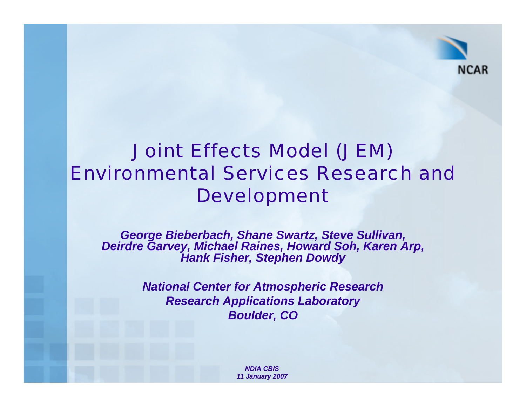

### Joint Effects Model (JEM) Environmental Services Research and Development

*George Bieberbach, Shane Swartz, Steve Sullivan, Deirdre Garvey, Michael Raines, Howard Soh, Karen Arp, Hank Fisher, Stephen Dowdy*

> *National Center for Atmospheric Research Research Applications Laboratory Boulder, CO*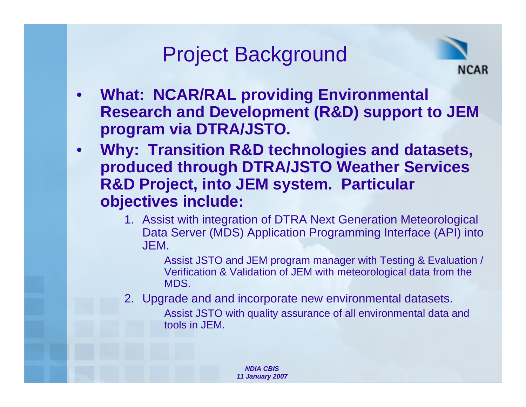### Project Background



- **What: NCAR/RAL providing Environmental Research and Development (R&D) support to JEM program via DTRA/JSTO.**
- **Why: Transition R&D technologies and datasets, produced through DTRA/JSTO Weather Services R&D Project, into JEM system. Particular objectives include:**
	- 1. Assist with integration of DTRA Next Generation Meteorological Data Server (MDS) Application Programming Interface (API) into JEM.

Assist JSTO and JEM program manager with Testing & Evaluation / Verification & Validation of JEM with meteorological data from the MDS.

2. Upgrade and and incorporate new environmental datasets.

Assist JSTO with quality assurance of all environmental data and tools in JEM.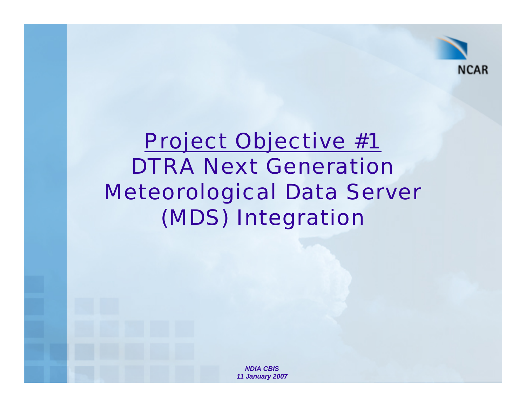

# Project Objective #1 DTRA Next Generation Meteorological Data Server (MDS) Integration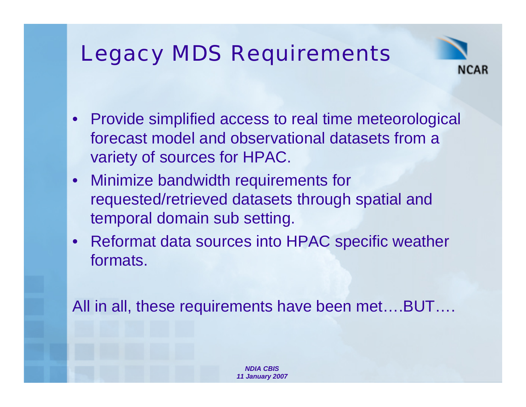## Legacy MDS Requirements



- Provide simplified access to real time meteorological forecast model and observational datasets from a variety of sources for HPAC.
- Minimize bandwidth requirements for requested/retrieved datasets through spatial and temporal domain sub setting.
- Reformat data sources into HPAC specific weather formats.

All in all, these requirements have been met....BUT....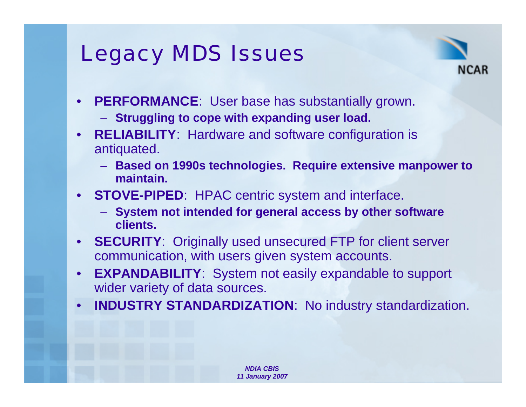## Legacy MDS Issues



- **PERFORMANCE**: User base has substantially grown.
	- **Struggling to cope with expanding user load.**
- **RELIABILITY**: Hardware and software configuration is antiquated.
	- **Based on 1990s technologies. Require extensive manpower to maintain.**
- **STOVE-PIPED**: HPAC centric system and interface.
	- **System not intended for general access by other software clients.**
- **SECURITY**: Originally used unsecured FTP for client server communication, with users given system accounts.
- **EXPANDABILITY**: System not easily expandable to support wider variety of data sources.
- **INDUSTRY STANDARDIZATION**: No industry standardization.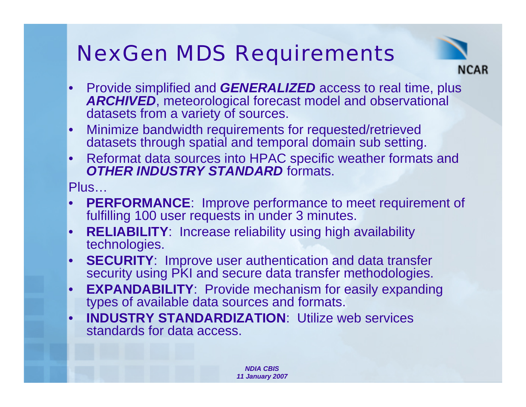# NexGen MDS Requirements



- Provide simplified and *GENERALIZED* access to real time, plus *ARCHIVED*, meteorological forecast model and observational datasets from a variety of sources.
- Minimize bandwidth requirements for requested/retrieved datasets through spatial and temporal domain sub setting.
- Reformat data sources into HPAC specific weather formats and *OTHER INDUSTRY STANDARD formats.*

Plus…

- **PERFORMANCE:** Improve performance to meet requirement of fulfilling 100 user requests in under 3 minutes.
- **RELIABILITY**: Increase reliability using high availability technologies.
- **SECURITY**: Improve user authentication and data transfer security using PKI and secure data transfer methodologies.
- **EXPANDABILITY**: Provide mechanism for easily expanding types of available data sources and formats.
- **INDUSTRY STANDARDIZATION:** Utilize web services standards for data access.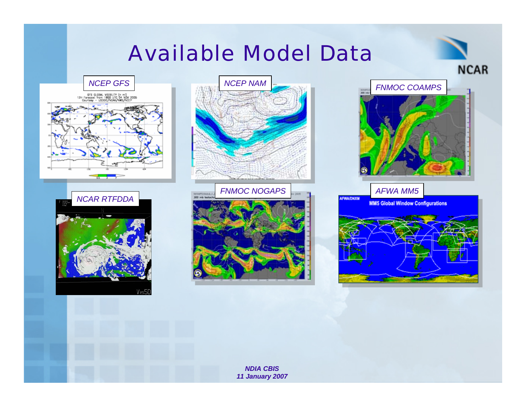### Available Model Data







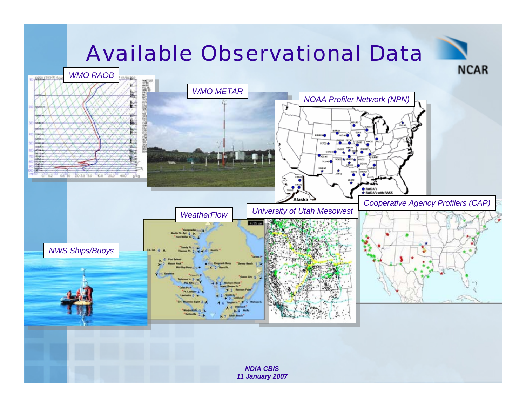### Available Observational Data

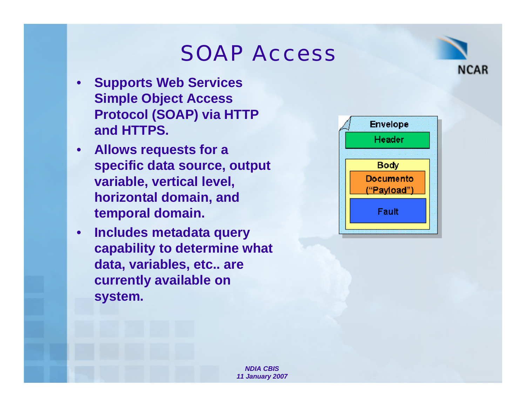### SOAP Access

- **Supports Web Services Simple Object Access Protocol (SOAP) via HTTP and HTTPS.**
- **Allows requests for a specific data source, output variable, vertical level, horizontal domain, and temporal domain.**
- **Includes metadata query capability to determine what data, variables, etc.. are currently available on system.**



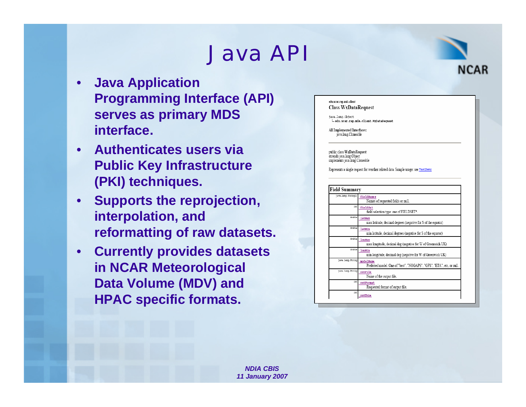### Java API

- **Java Application Programming Interface (API) serves as primary MDS interface.**
- **Authenticates users via Public Key Infrastructure (PKI) techniques.**
- **Supports the reprojection, interpolation, and reformatting of raw datasets.**
- **Currently provides datasets in NCAR Meteorological Data Volume (MDV) and HPAC specific formats.**



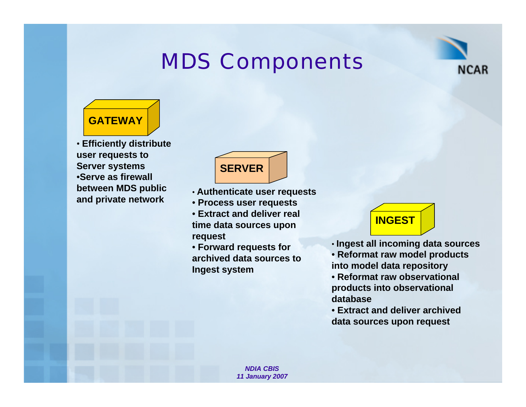### MDS Components





• **Efficiently distribute user requests to Server systems** •**Serve as firewall between MDS public and private network**



- **Authenticate user requests**
- **Process user requests**
- **Extract and deliver real time data sources upon request**
- **Forward requests for archived data sources to Ingest system**



- **Ingest all incoming data sources**
- **Reformat raw model products into model data repository**
- **Reformat raw observational products into observational database**
- **Extract and deliver archived data sources upon request**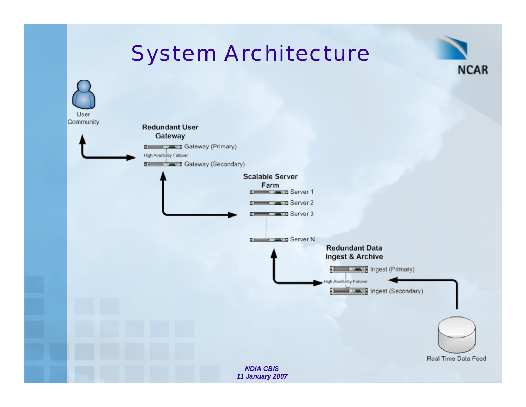### System Architecture

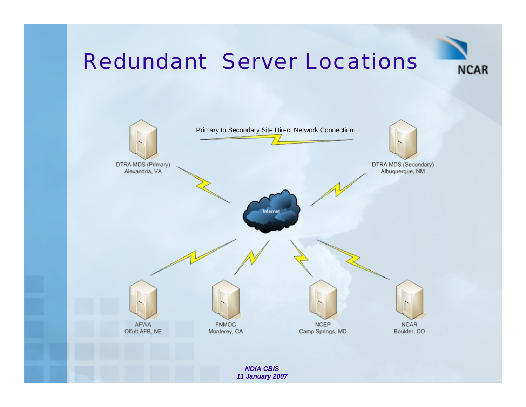### Redundant Server Locations



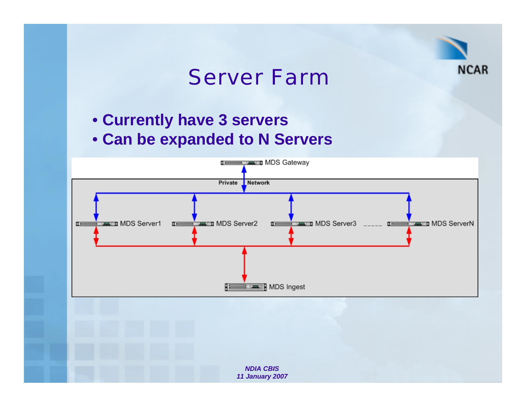

### Server Farm

- **Currently have 3 servers**
- **Can be expanded to N Servers**

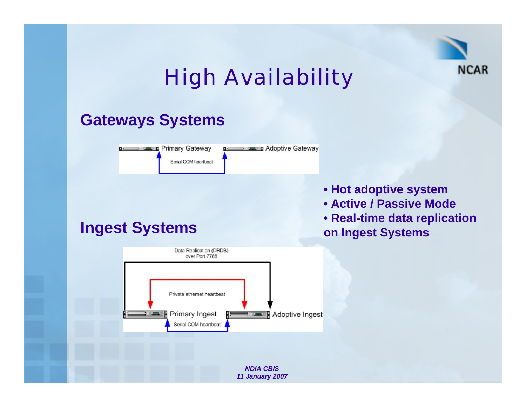

# High Availability

### **Gateways Systems**



- **Hot adoptive system**
- **Active / Passive Mode**
- **Real-time data replication on Ingest Systems**

### **Ingest Systems**

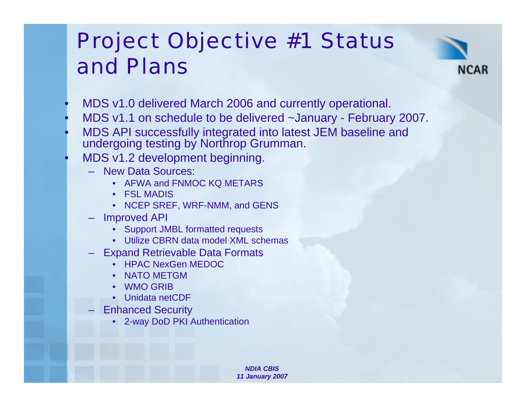## Project Objective #1 Status and Plans



- MDS v1.0 delivered March 2006 and currently operational.
- MDS v1.1 on schedule to be delivered ~January February 2007.
- MDS API successfully integrated into latest JEM baseline and undergoing testing by Northrop Grumman.
- MDS v1.2 development beginning.
	- New Data Sources:
		- AFWA and FNMOC KQ METARS
		- FSL MADIS
		- NCEP SREF, WRF-NMM, and GENS
	- Improved API
		- Support JMBL formatted requests
		- Utilize CBRN data model XML schemas
	- Expand Retrievable Data Formats
		- HPAC NexGen MEDOC
		- NATO METGM
		- WMO GRIB
		- Unidata netCDF
	- **Enhanced Security** 
		- 2-way DoD PKI Authentication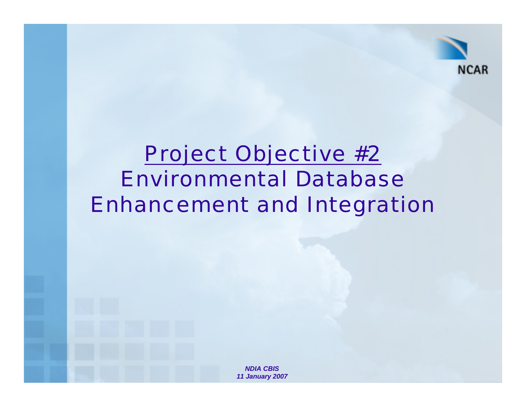

### Project Objective #2 Environmental Database Enhancement and Integration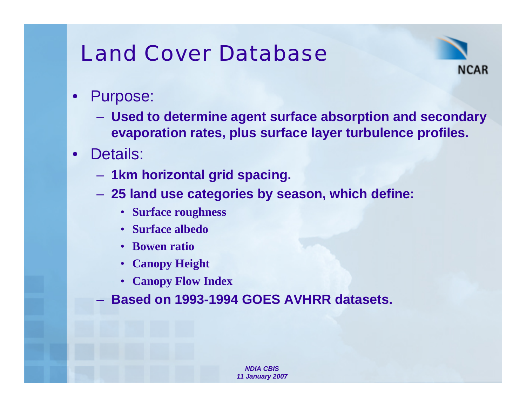### Land Cover Database



- Purpose:
	- **Used to determine agent surface absorption and secondary evaporation rates, plus surface layer turbulence profiles.**
- Details:
	- **1km horizontal grid spacing.**
	- **25 land use categories by season, which define:**
		- **Surface roughness**
		- **Surface albedo**
		- **Bowen ratio**
		- **Canopy Height**
		- **Canopy Flow Index**
	- **Based on 1993-1994 GOES AVHRR datasets.**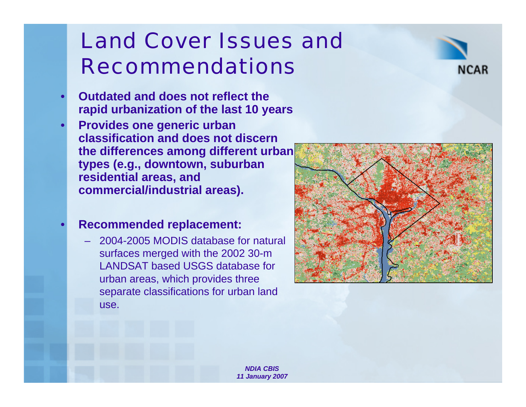### Land Cover Issues and Recommendations

- **Outdated and does not reflect the rapid urbanization of the last 10 years**
- **Provides one generic urban classification and does not discern the differences among different urban types (e.g., downtown, suburban residential areas, and commercial/industrial areas).**

#### • **Recommended replacement:**

– 2004-2005 MODIS database for natural surfaces merged with the 2002 30-m LANDSAT based USGS database for urban areas, which provides three separate classifications for urban land use.



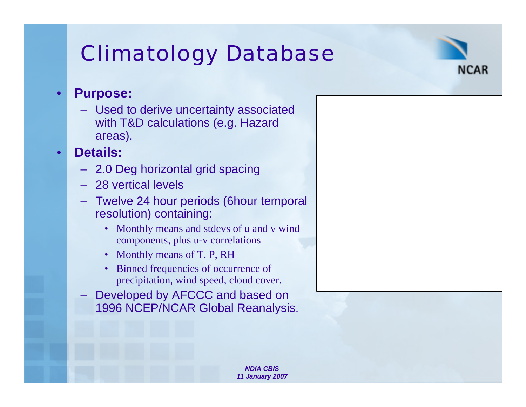# Climatology Database



#### • **Purpose:**

– Used to derive uncertainty associated with T&D calculations (e.g. Hazard areas).

### • **Details:**

- 2.0 Deg horizontal grid spacing
- 28 vertical levels
- Twelve 24 hour periods (6hour temporal resolution) containing:
	- Monthly means and stdevs of u and v wind components, plus u-v correlations
	- Monthly means of T, P, RH
	- Binned frequencies of occurrence of precipitation, wind speed, cloud cover.
- Developed by AFCCC and based on 1996 NCEP/NCAR Global Reanalysis.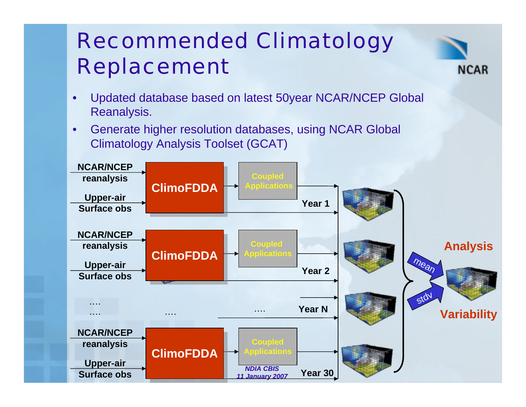# Recommended Climatology Replacement



- Updated database based on latest 50year NCAR/NCEP Global Reanalysis.
- Generate higher resolution databases, using NCAR Global Climatology Analysis Toolset (GCAT)

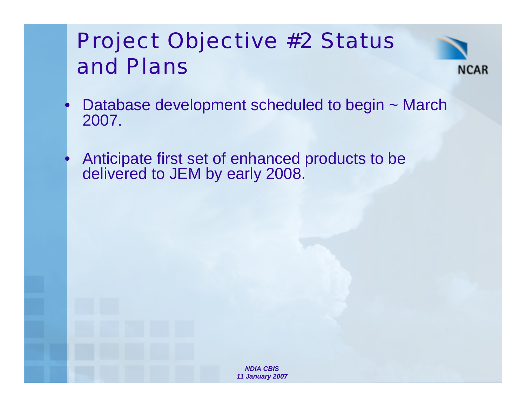# Project Objective #2 Status and Plans



- Database development scheduled to begin ~ March 2007.
- Anticipate first set of enhanced products to be delivered to JEM by early 2008.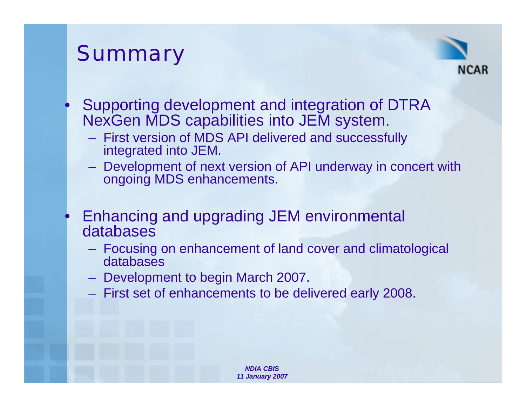# **Summary**



- Supporting development and integration of DTRA NexGen MDS capabilities into JEM system.
	- First version of MDS API delivered and successfully integrated into JEM.
	- Development of next version of API underway in concert with ongoing MDS enhancements.
- Enhancing and upgrading JEM environmental databases
	- Focusing on enhancement of land cover and climatological databases
	- Development to begin March 2007.
	- First set of enhancements to be delivered early 2008.